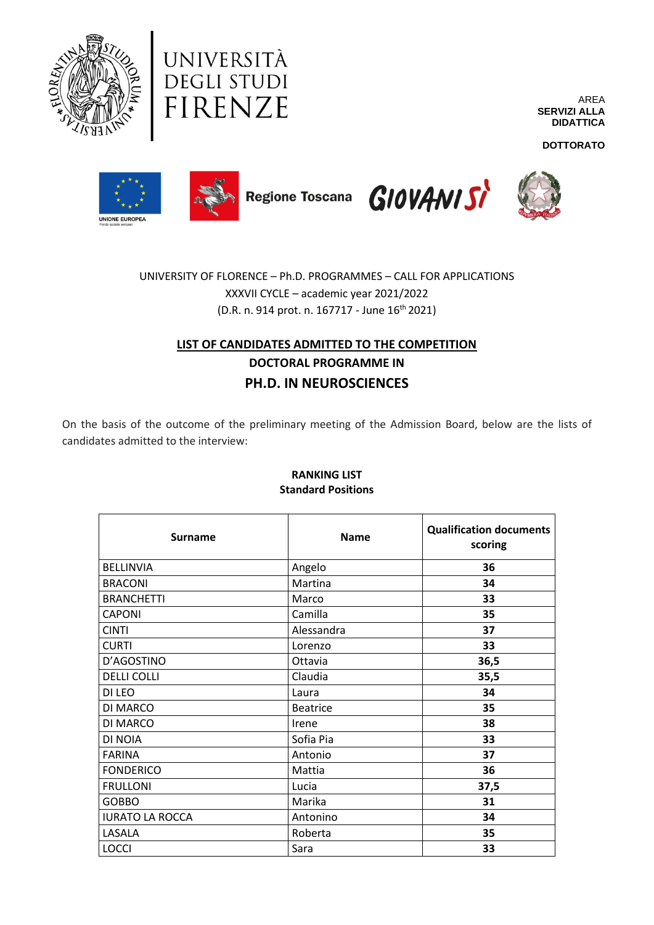

UNIVERSITÀ DEGLI STUDI FIRENZE

AREA **SERVIZI ALLA DIDATTICA**

**DOTTORATO**









UNIVERSITY OF FLORENCE – Ph.D. PROGRAMMES – CALL FOR APPLICATIONS XXXVII CYCLE – academic year 2021/2022  $(D.R. n. 914 \text{ prot. } n. 167717 - \text{June } 16^{\text{th}} 2021)$ 

# **LIST OF CANDIDATES ADMITTED TO THE COMPETITION DOCTORAL PROGRAMME IN PH.D. IN NEUROSCIENCES**

On the basis of the outcome of the preliminary meeting of the Admission Board, below are the lists of candidates admitted to the interview:

| <b>Surname</b>         | <b>Name</b>     | <b>Qualification documents</b><br>scoring |
|------------------------|-----------------|-------------------------------------------|
| <b>BELLINVIA</b>       | Angelo          | 36                                        |
| <b>BRACONI</b>         | Martina         | 34                                        |
| <b>BRANCHETTI</b>      | Marco           | 33                                        |
| <b>CAPONI</b>          | Camilla         | 35                                        |
| <b>CINTI</b>           | Alessandra      | 37                                        |
| <b>CURTI</b>           | Lorenzo         | 33                                        |
| D'AGOSTINO             | Ottavia         | 36,5                                      |
| <b>DELLI COLLI</b>     | Claudia         | 35,5                                      |
| DI LEO                 | Laura           | 34                                        |
| DI MARCO               | <b>Beatrice</b> | 35                                        |
| DI MARCO               | Irene           | 38                                        |
| DI NOIA                | Sofia Pia       | 33                                        |
| <b>FARINA</b>          | Antonio         | 37                                        |
| <b>FONDERICO</b>       | Mattia          | 36                                        |
| <b>FRULLONI</b>        | Lucia           | 37,5                                      |
| <b>GOBBO</b>           | Marika          | 31                                        |
| <b>IURATO LA ROCCA</b> | Antonino        | 34                                        |
| LASALA                 | Roberta         | 35                                        |
| <b>LOCCI</b>           | Sara            | 33                                        |

### **RANKING LIST Standard Positions**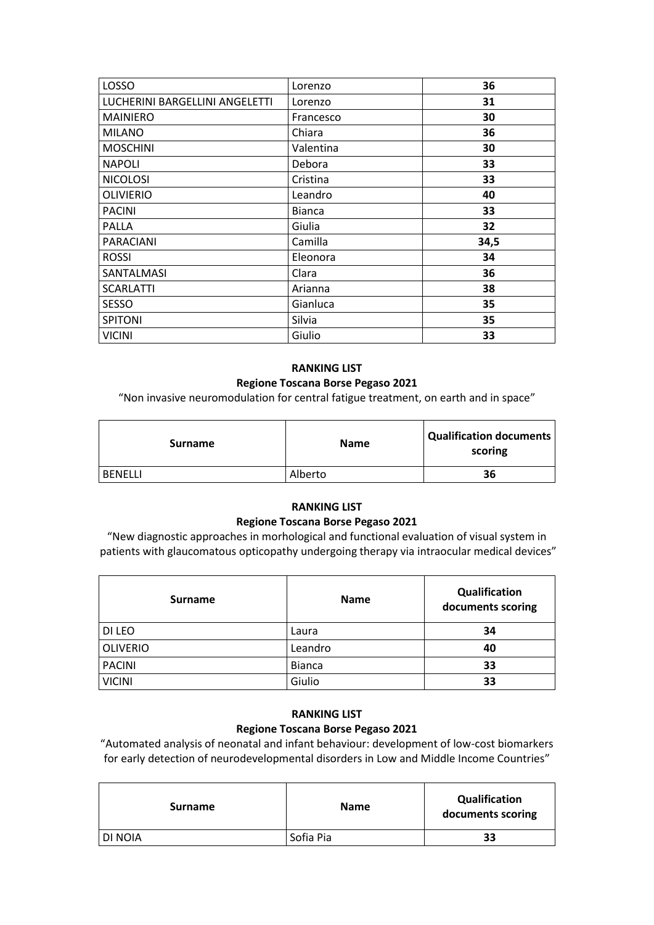| <b>LOSSO</b>                   | Lorenzo       | 36   |
|--------------------------------|---------------|------|
| LUCHERINI BARGELLINI ANGELETTI | Lorenzo       | 31   |
| <b>MAINIERO</b>                | Francesco     | 30   |
| <b>MILANO</b>                  | Chiara        | 36   |
| <b>MOSCHINI</b>                | Valentina     | 30   |
| <b>NAPOLI</b>                  | Debora        | 33   |
| <b>NICOLOSI</b>                | Cristina      | 33   |
| <b>OLIVIERIO</b>               | Leandro       | 40   |
| <b>PACINI</b>                  | <b>Bianca</b> | 33   |
| <b>PALLA</b>                   | Giulia        | 32   |
| <b>PARACIANI</b>               | Camilla       | 34,5 |
| <b>ROSSI</b>                   | Eleonora      | 34   |
| SANTALMASI                     | Clara         | 36   |
| <b>SCARLATTI</b>               | Arianna       | 38   |
| SESSO                          | Gianluca      | 35   |
| <b>SPITONI</b>                 | Silvia        | 35   |
| <b>VICINI</b>                  | Giulio        | 33   |

### **RANKING LIST**

### **Regione Toscana Borse Pegaso 2021**

"Non invasive neuromodulation for central fatigue treatment, on earth and in space"

| <b>Surname</b> | <b>Name</b> | Qualification documents  <br>scoring |
|----------------|-------------|--------------------------------------|
| <b>BENELLI</b> | Alberto     | 36                                   |

### **RANKING LIST**

### **Regione Toscana Borse Pegaso 2021**

"New diagnostic approaches in morhological and functional evaluation of visual system in patients with glaucomatous opticopathy undergoing therapy via intraocular medical devices"

| <b>Surname</b>  | <b>Name</b>   | Qualification<br>documents scoring |
|-----------------|---------------|------------------------------------|
| DI LEO          | Laura         | 34                                 |
| <b>OLIVERIO</b> | Leandro       | 40                                 |
| <b>PACINI</b>   | <b>Bianca</b> | 33                                 |
| <b>VICINI</b>   | Giulio        | 33                                 |

# **RANKING LIST**

## **Regione Toscana Borse Pegaso 2021**

"Automated analysis of neonatal and infant behaviour: development of low-cost biomarkers for early detection of neurodevelopmental disorders in Low and Middle Income Countries"

| <b>Surname</b> | <b>Name</b> | <b>Qualification</b><br>documents scoring |
|----------------|-------------|-------------------------------------------|
| <b>DI NOIA</b> | Sofia Pia   | 33                                        |